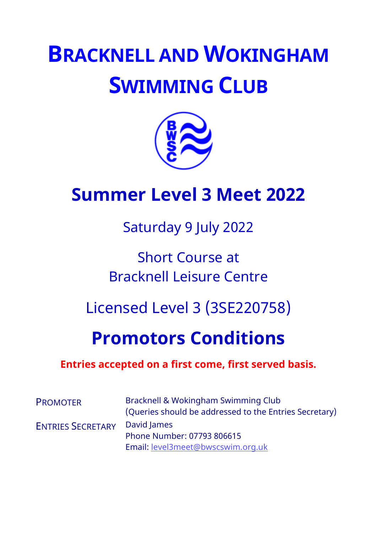# **BRACKNELL AND WOKINGHAM SWIMMING CLUB**



## **Summer Level 3 Meet 2022**

Saturday 9 July 2022

## Short Course at Bracknell Leisure Centre

## Licensed Level 3 (3SE220758)

## **Promotors Conditions**

### **Entries accepted on a first come, first served basis.**

| <b>PROMOTER</b>          | Bracknell & Wokingham Swimming Club<br>(Queries should be addressed to the Entries Secretary) |  |  |  |  |
|--------------------------|-----------------------------------------------------------------------------------------------|--|--|--|--|
| <b>ENTRIES SECRETARY</b> | David James<br>Phone Number: 07793 806615                                                     |  |  |  |  |
|                          | Email: level3meet@bwscswim.org.uk                                                             |  |  |  |  |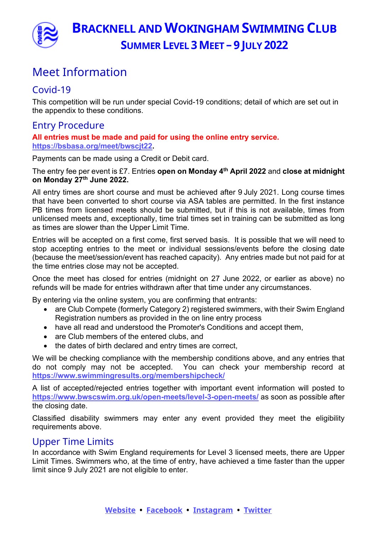

### Meet Information

#### Covid-19

This competition will be run under special Covid-19 conditions; detail of which are set out in the appendix to these conditions.

#### Entry Procedure

**All entries must be made and paid for using the online entry service. https://bsbasa.org/meet/bwscjt22.**

Payments can be made using a Credit or Debit card.

The entry fee per event is £7. Entries **open on Monday 4th April 2022** and **close at midnight on Monday 27th June 2022.** 

All entry times are short course and must be achieved after 9 July 2021. Long course times that have been converted to short course via ASA tables are permitted. In the first instance PB times from licensed meets should be submitted, but if this is not available, times from unlicensed meets and, exceptionally, time trial times set in training can be submitted as long as times are slower than the Upper Limit Time.

Entries will be accepted on a first come, first served basis. It is possible that we will need to stop accepting entries to the meet or individual sessions/events before the closing date (because the meet/session/event has reached capacity). Any entries made but not paid for at the time entries close may not be accepted.

Once the meet has closed for entries (midnight on 27 June 2022, or earlier as above) no refunds will be made for entries withdrawn after that time under any circumstances.

By entering via the online system, you are confirming that entrants:

- are Club Compete (formerly Category 2) registered swimmers, with their Swim England Registration numbers as provided in the on line entry process
- have all read and understood the Promoter's Conditions and accept them,
- are Club members of the entered clubs, and
- the dates of birth declared and entry times are correct,

We will be checking compliance with the membership conditions above, and any entries that do not comply may not be accepted. You can check your membership record at **https://www.swimmingresults.org/membershipcheck/**

A list of accepted/rejected entries together with important event information will posted to **https://www.bwscswim.org.uk/open-meets/level-3-open-meets/** as soon as possible after the closing date.

Classified disability swimmers may enter any event provided they meet the eligibility requirements above.

#### Upper Time Limits

In accordance with Swim England requirements for Level 3 licensed meets, there are Upper Limit Times. Swimmers who, at the time of entry, have achieved a time faster than the upper limit since 9 July 2021 are not eligible to enter.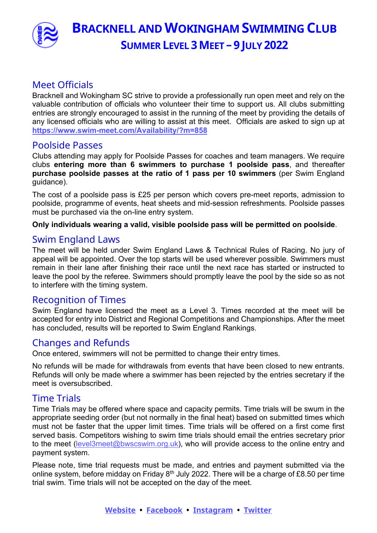

#### Meet Officials

Bracknell and Wokingham SC strive to provide a professionally run open meet and rely on the valuable contribution of officials who volunteer their time to support us. All clubs submitting entries are strongly encouraged to assist in the running of the meet by providing the details of any licensed officials who are willing to assist at this meet. Officials are asked to sign up at **https://www.swim-meet.com/Availability/?m=858**

#### Poolside Passes

Clubs attending may apply for Poolside Passes for coaches and team managers. We require clubs **entering more than 6 swimmers to purchase 1 poolside pass**, and thereafter **purchase poolside passes at the ratio of 1 pass per 10 swimmers** (per Swim England guidance).

The cost of a poolside pass is £25 per person which covers pre-meet reports, admission to poolside, programme of events, heat sheets and mid-session refreshments. Poolside passes must be purchased via the on-line entry system.

#### **Only individuals wearing a valid, visible poolside pass will be permitted on poolside**.

#### Swim England Laws

The meet will be held under Swim England Laws & Technical Rules of Racing. No jury of appeal will be appointed. Over the top starts will be used wherever possible. Swimmers must remain in their lane after finishing their race until the next race has started or instructed to leave the pool by the referee. Swimmers should promptly leave the pool by the side so as not to interfere with the timing system.

#### Recognition of Times

Swim England have licensed the meet as a Level 3. Times recorded at the meet will be accepted for entry into District and Regional Competitions and Championships. After the meet has concluded, results will be reported to Swim England Rankings.

#### Changes and Refunds

Once entered, swimmers will not be permitted to change their entry times.

No refunds will be made for withdrawals from events that have been closed to new entrants. Refunds will only be made where a swimmer has been rejected by the entries secretary if the meet is oversubscribed.

#### Time Trials

Time Trials may be offered where space and capacity permits. Time trials will be swum in the appropriate seeding order (but not normally in the final heat) based on submitted times which must not be faster that the upper limit times. Time trials will be offered on a first come first served basis. Competitors wishing to swim time trials should email the entries secretary prior to the meet (level3meet@bwscswim.org.uk), who will provide access to the online entry and payment system.

Please note, time trial requests must be made, and entries and payment submitted via the online system, before midday on Friday  $8<sup>th</sup>$  July 2022. There will be a charge of £8.50 per time trial swim. Time trials will not be accepted on the day of the meet.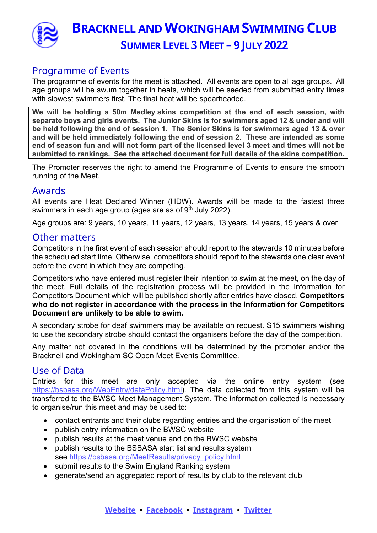

#### Programme of Events

The programme of events for the meet is attached. All events are open to all age groups. All age groups will be swum together in heats, which will be seeded from submitted entry times with slowest swimmers first. The final heat will be spearheaded.

**We will be holding a 50m Medley skins competition at the end of each session, with separate boys and girls events. The Junior Skins is for swimmers aged 12 & under and will be held following the end of session 1. The Senior Skins is for swimmers aged 13 & over and will be held immediately following the end of session 2. These are intended as some end of season fun and will not form part of the licensed level 3 meet and times will not be submitted to rankings. See the attached document for full details of the skins competition.**

The Promoter reserves the right to amend the Programme of Events to ensure the smooth running of the Meet.

#### Awards

All events are Heat Declared Winner (HDW). Awards will be made to the fastest three swimmers in each age group (ages are as of 9<sup>th</sup> July 2022).

Age groups are: 9 years, 10 years, 11 years, 12 years, 13 years, 14 years, 15 years & over

#### Other matters

Competitors in the first event of each session should report to the stewards 10 minutes before the scheduled start time. Otherwise, competitors should report to the stewards one clear event before the event in which they are competing.

Competitors who have entered must register their intention to swim at the meet, on the day of the meet. Full details of the registration process will be provided in the Information for Competitors Document which will be published shortly after entries have closed. **Competitors who do not register in accordance with the process in the Information for Competitors Document are unlikely to be able to swim.**

A secondary strobe for deaf swimmers may be available on request. S15 swimmers wishing to use the secondary strobe should contact the organisers before the day of the competition.

Any matter not covered in the conditions will be determined by the promoter and/or the Bracknell and Wokingham SC Open Meet Events Committee.

#### Use of Data

Entries for this meet are only accepted via the online entry system (see https://bsbasa.org/WebEntry/dataPolicy.html). The data collected from this system will be transferred to the BWSC Meet Management System. The information collected is necessary to organise/run this meet and may be used to:

- contact entrants and their clubs regarding entries and the organisation of the meet
- publish entry information on the BWSC website
- publish results at the meet venue and on the BWSC website
- publish results to the BSBASA start list and results system see https://bsbasa.org/MeetResults/privacy\_policy.html
- submit results to the Swim England Ranking system
- generate/send an aggregated report of results by club to the relevant club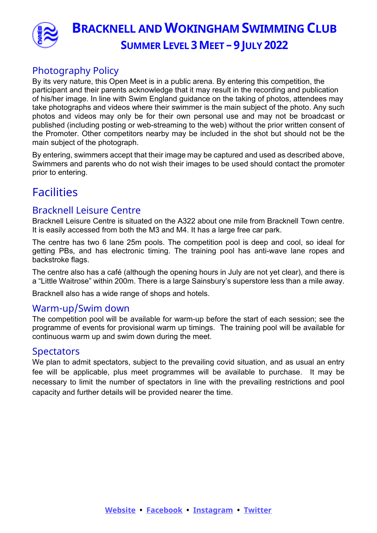

#### Photography Policy

By its very nature, this Open Meet is in a public arena. By entering this competition, the participant and their parents acknowledge that it may result in the recording and publication of his/her image. In line with Swim England guidance on the taking of photos, attendees may take photographs and videos where their swimmer is the main subject of the photo. Any such photos and videos may only be for their own personal use and may not be broadcast or published (including posting or web-streaming to the web) without the prior written consent of the Promoter. Other competitors nearby may be included in the shot but should not be the main subject of the photograph.

By entering, swimmers accept that their image may be captured and used as described above, Swimmers and parents who do not wish their images to be used should contact the promoter prior to entering.

### **Facilities**

#### Bracknell Leisure Centre

Bracknell Leisure Centre is situated on the A322 about one mile from Bracknell Town centre. It is easily accessed from both the M3 and M4. It has a large free car park.

The centre has two 6 lane 25m pools. The competition pool is deep and cool, so ideal for getting PBs, and has electronic timing. The training pool has anti-wave lane ropes and backstroke flags.

The centre also has a café (although the opening hours in July are not yet clear), and there is a "Little Waitrose" within 200m. There is a large Sainsbury's superstore less than a mile away.

Bracknell also has a wide range of shops and hotels.

#### Warm-up/Swim down

The competition pool will be available for warm-up before the start of each session; see the programme of events for provisional warm up timings. The training pool will be available for continuous warm up and swim down during the meet.

#### **Spectators**

We plan to admit spectators, subject to the prevailing covid situation, and as usual an entry fee will be applicable, plus meet programmes will be available to purchase. It may be necessary to limit the number of spectators in line with the prevailing restrictions and pool capacity and further details will be provided nearer the time.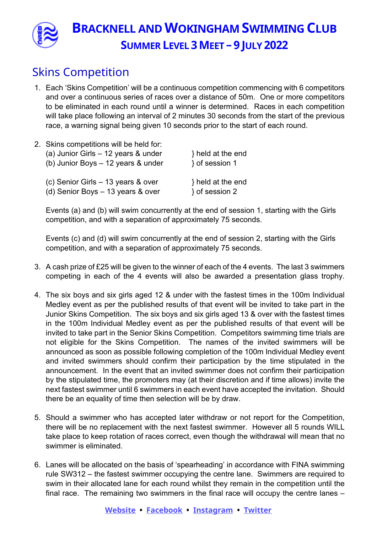

### Skins Competition

- 1. Each 'Skins Competition' will be a continuous competition commencing with 6 competitors and over a continuous series of races over a distance of 50m. One or more competitors to be eliminated in each round until a winner is determined. Races in each competition will take place following an interval of 2 minutes 30 seconds from the start of the previous race, a warning signal being given 10 seconds prior to the start of each round.
- 2. Skins competitions will be held for: (a) Junior Girls – 12 years & under  $\{a\}$  held at the end (b) Junior Boys – 12 years & under  $\{ \}$  of session 1 (c) Senior Girls – 13 years & over  $\{ch\}$  held at the end (d) Senior Boys  $-13$  years & over and a session 2

Events (a) and (b) will swim concurrently at the end of session 1, starting with the Girls competition, and with a separation of approximately 75 seconds.

Events (c) and (d) will swim concurrently at the end of session 2, starting with the Girls competition, and with a separation of approximately 75 seconds.

- 3. A cash prize of £25 will be given to the winner of each of the 4 events. The last 3 swimmers competing in each of the 4 events will also be awarded a presentation glass trophy.
- 4. The six boys and six girls aged 12 & under with the fastest times in the 100m Individual Medley event as per the published results of that event will be invited to take part in the Junior Skins Competition. The six boys and six girls aged 13 & over with the fastest times in the 100m Individual Medley event as per the published results of that event will be invited to take part in the Senior Skins Competition. Competitors swimming time trials are not eligible for the Skins Competition. The names of the invited swimmers will be announced as soon as possible following completion of the 100m Individual Medley event and invited swimmers should confirm their participation by the time stipulated in the announcement. In the event that an invited swimmer does not confirm their participation by the stipulated time, the promoters may (at their discretion and if time allows) invite the next fastest swimmer until 6 swimmers in each event have accepted the invitation. Should there be an equality of time then selection will be by draw.
- 5. Should a swimmer who has accepted later withdraw or not report for the Competition, there will be no replacement with the next fastest swimmer. However all 5 rounds WILL take place to keep rotation of races correct, even though the withdrawal will mean that no swimmer is eliminated.
- 6. Lanes will be allocated on the basis of 'spearheading' in accordance with FINA swimming rule SW312 – the fastest swimmer occupying the centre lane. Swimmers are required to swim in their allocated lane for each round whilst they remain in the competition until the final race. The remaining two swimmers in the final race will occupy the centre lanes –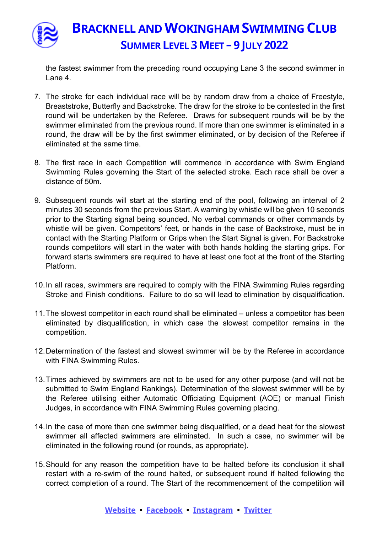

the fastest swimmer from the preceding round occupying Lane 3 the second swimmer in Lane 4.

- 7. The stroke for each individual race will be by random draw from a choice of Freestyle, Breaststroke, Butterfly and Backstroke. The draw for the stroke to be contested in the first round will be undertaken by the Referee. Draws for subsequent rounds will be by the swimmer eliminated from the previous round. If more than one swimmer is eliminated in a round, the draw will be by the first swimmer eliminated, or by decision of the Referee if eliminated at the same time.
- 8. The first race in each Competition will commence in accordance with Swim England Swimming Rules governing the Start of the selected stroke. Each race shall be over a distance of 50m.
- 9. Subsequent rounds will start at the starting end of the pool, following an interval of 2 minutes 30 seconds from the previous Start. A warning by whistle will be given 10 seconds prior to the Starting signal being sounded. No verbal commands or other commands by whistle will be given. Competitors' feet, or hands in the case of Backstroke, must be in contact with the Starting Platform or Grips when the Start Signal is given. For Backstroke rounds competitors will start in the water with both hands holding the starting grips. For forward starts swimmers are required to have at least one foot at the front of the Starting Platform.
- 10. In all races, swimmers are required to comply with the FINA Swimming Rules regarding Stroke and Finish conditions. Failure to do so will lead to elimination by disqualification.
- 11. The slowest competitor in each round shall be eliminated unless a competitor has been eliminated by disqualification, in which case the slowest competitor remains in the competition.
- 12. Determination of the fastest and slowest swimmer will be by the Referee in accordance with FINA Swimming Rules.
- 13. Times achieved by swimmers are not to be used for any other purpose (and will not be submitted to Swim England Rankings). Determination of the slowest swimmer will be by the Referee utilising either Automatic Officiating Equipment (AOE) or manual Finish Judges, in accordance with FINA Swimming Rules governing placing.
- 14. In the case of more than one swimmer being disqualified, or a dead heat for the slowest swimmer all affected swimmers are eliminated. In such a case, no swimmer will be eliminated in the following round (or rounds, as appropriate).
- 15. Should for any reason the competition have to be halted before its conclusion it shall restart with a re-swim of the round halted, or subsequent round if halted following the correct completion of a round. The Start of the recommencement of the competition will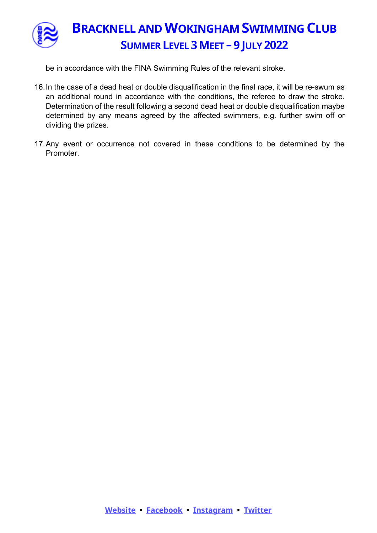

be in accordance with the FINA Swimming Rules of the relevant stroke.

- 16. In the case of a dead heat or double disqualification in the final race, it will be re-swum as an additional round in accordance with the conditions, the referee to draw the stroke. Determination of the result following a second dead heat or double disqualification maybe determined by any means agreed by the affected swimmers, e.g. further swim off or dividing the prizes.
- 17. Any event or occurrence not covered in these conditions to be determined by the Promoter.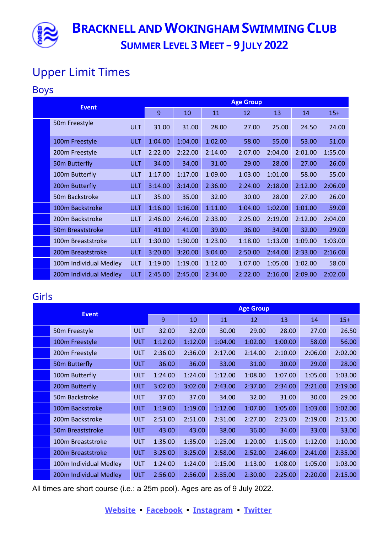

## Upper Limit Times

#### Boys

| <b>Event</b> |                        | <b>Age Group</b> |         |         |         |         |         |         |         |
|--------------|------------------------|------------------|---------|---------|---------|---------|---------|---------|---------|
|              |                        | 9                | 10      | 11      | 12      | 13      | 14      | $15+$   |         |
|              | 50m Freestyle          | <b>ULT</b>       | 31.00   | 31.00   | 28.00   | 27.00   | 25.00   | 24.50   | 24.00   |
|              | 100m Freestyle         | <b>ULT</b>       | 1:04.00 | 1:04.00 | 1:02.00 | 58.00   | 55.00   | 53.00   | 51.00   |
|              | 200m Freestyle         | <b>ULT</b>       | 2:22.00 | 2:22.00 | 2:14.00 | 2:07.00 | 2:04.00 | 2:01.00 | 1:55.00 |
|              | 50m Butterfly          | <b>ULT</b>       | 34.00   | 34.00   | 31.00   | 29.00   | 28.00   | 27.00   | 26.00   |
|              | 100m Butterfly         | <b>ULT</b>       | 1:17.00 | 1:17.00 | 1:09.00 | 1:03.00 | 1:01.00 | 58.00   | 55.00   |
|              | 200m Butterfly         | <b>ULT</b>       | 3:14.00 | 3:14.00 | 2:36.00 | 2:24.00 | 2:18.00 | 2:12.00 | 2:06.00 |
|              | 50m Backstroke         | <b>ULT</b>       | 35.00   | 35.00   | 32.00   | 30.00   | 28.00   | 27.00   | 26.00   |
|              | 100m Backstroke        | <b>ULT</b>       | 1:16.00 | 1:16.00 | 1:11.00 | 1:04.00 | 1:02.00 | 1:01.00 | 59.00   |
|              | 200m Backstroke        | <b>ULT</b>       | 2:46.00 | 2:46.00 | 2:33.00 | 2:25.00 | 2:19.00 | 2:12.00 | 2:04.00 |
|              | 50m Breaststroke       | ULT.             | 41.00   | 41.00   | 39.00   | 36.00   | 34.00   | 32.00   | 29.00   |
|              | 100m Breaststroke      | <b>ULT</b>       | 1:30.00 | 1:30.00 | 1:23.00 | 1:18.00 | 1:13.00 | 1:09.00 | 1:03.00 |
|              | 200m Breaststroke      | <b>ULT</b>       | 3:20.00 | 3:20.00 | 3:04.00 | 2:50.00 | 2:44.00 | 2:33.00 | 2:16.00 |
|              | 100m Individual Medley | <b>ULT</b>       | 1:19.00 | 1:19.00 | 1:12.00 | 1:07.00 | 1:05.00 | 1:02.00 | 58.00   |
|              | 200m Individual Medley | <b>ULT</b>       | 2:45.00 | 2:45.00 | 2:34.00 | 2:22.00 | 2:16.00 | 2:09.00 | 2:02.00 |

#### Girls

| <b>Event</b> |                        | <b>Age Group</b> |         |         |         |         |         |         |         |
|--------------|------------------------|------------------|---------|---------|---------|---------|---------|---------|---------|
|              |                        | 9                | 10      | 11      | 12      | 13      | 14      | $15+$   |         |
|              | 50m Freestyle          | <b>ULT</b>       | 32.00   | 32.00   | 30.00   | 29.00   | 28.00   | 27.00   | 26.50   |
|              | 100m Freestyle         | <b>ULT</b>       | 1:12.00 | 1:12.00 | 1:04.00 | 1:02.00 | 1:00.00 | 58.00   | 56.00   |
|              | 200m Freestyle         | <b>ULT</b>       | 2:36.00 | 2:36.00 | 2:17.00 | 2:14.00 | 2:10.00 | 2:06.00 | 2:02.00 |
|              | 50m Butterfly          | ULT.             | 36.00   | 36.00   | 33.00   | 31.00   | 30.00   | 29.00   | 28.00   |
|              | 100m Butterfly         | <b>ULT</b>       | 1:24.00 | 1:24.00 | 1:12.00 | 1:08.00 | 1:07.00 | 1:05.00 | 1:03.00 |
|              | 200m Butterfly         | <b>ULT</b>       | 3:02.00 | 3:02.00 | 2:43.00 | 2:37.00 | 2:34.00 | 2:21.00 | 2:19.00 |
|              | 50m Backstroke         | <b>ULT</b>       | 37.00   | 37.00   | 34.00   | 32.00   | 31.00   | 30.00   | 29.00   |
|              | 100m Backstroke        | <b>ULT</b>       | 1:19.00 | 1:19.00 | 1:12.00 | 1:07.00 | 1:05.00 | 1:03.00 | 1:02.00 |
|              | 200m Backstroke        | <b>ULT</b>       | 2:51.00 | 2:51.00 | 2:31.00 | 2:27.00 | 2:23.00 | 2:19.00 | 2:15.00 |
|              | 50m Breaststroke       | ULT.             | 43.00   | 43.00   | 38.00   | 36.00   | 34.00   | 33.00   | 33.00   |
|              | 100m Breaststroke      | <b>ULT</b>       | 1:35.00 | 1:35.00 | 1:25.00 | 1:20.00 | 1:15.00 | 1:12.00 | 1:10.00 |
|              | 200m Breaststroke      | <b>ULT</b>       | 3:25.00 | 3:25.00 | 2:58.00 | 2:52.00 | 2:46.00 | 2:41.00 | 2:35.00 |
|              | 100m Individual Medley | <b>ULT</b>       | 1:24.00 | 1:24.00 | 1:15.00 | 1:13.00 | 1:08.00 | 1:05.00 | 1:03.00 |
|              | 200m Individual Medley | <b>ULT</b>       | 2:56.00 | 2:56.00 | 2:35.00 | 2:30.00 | 2:25.00 | 2:20.00 | 2:15.00 |

All times are short course (i.e.: a 25m pool). Ages are as of 9 July 2022.